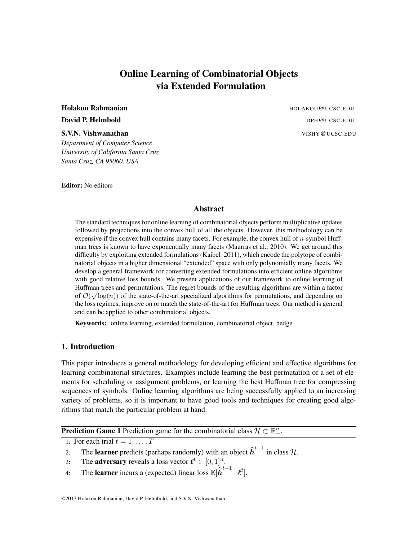# Online Learning of Combinatorial Objects via Extended Formulation

*Department of Computer Science University of California Santa Cruz Santa Cruz, CA 95060, USA*

Editor: No editors

Holakou Rahmanian Holakou (Holakou Rahmanian Holakou Rahmanian Holakou Rahmanian Holakou Rahmanian Holakou Rah **David P. Helmbold** Development of the Development of the DPH@UCSC.EDU **S.V.N. Vishwanathan** VISHY@UCSC.EDU

# Abstract

The standard techniques for online learning of combinatorial objects perform multiplicative updates followed by projections into the convex hull of all the objects. However, this methodology can be expensive if the convex hull contains many facets. For example, the convex hull of *n*-symbol Huffman trees is known to have exponentially many facets [\(Maurras et al., 2010\)](#page-13-0). We get around this difficulty by exploiting extended formulations [\(Kaibel, 2011\)](#page-13-1), which encode the polytope of combinatorial objects in a higher dimensional "extended" space with only polynomially many facets. We develop a general framework for converting extended formulations into efficient online algorithms with good relative loss bounds. We present applications of our framework to online learning of Huffman trees and permutations. The regret bounds of the resulting algorithms are within a factor of  $\mathcal{O}(\sqrt{\log(n)})$  of the state-of-the-art specialized algorithms for permutations, and depending on the loss regimes, improve on or match the state-of-the-art for Huffman trees. Our method is general and can be applied to other combinatorial objects.

Keywords: online learning, extended formulation, combinatorial object, hedge

### <span id="page-0-1"></span>1. Introduction

This paper introduces a general methodology for developing efficient and effective algorithms for learning combinatorial structures. Examples include learning the best permutation of a set of elements for scheduling or assignment problems, or learning the best Huffman tree for compressing sequences of symbols. Online learning algorithms are being successfully applied to an increasing variety of problems, so it is important to have good tools and techniques for creating good algorithms that match the particular problem at hand.

**Prediction Game 1** Prediction game for the combinatorial class  $\mathcal{H} \subset \mathbb{R}^n_+$ .

1: For each trial  $t = 1, ..., T$ 

2: The **learner** predicts (perhaps randomly) with an object  $\hat{h}^{t-1}$  in class  $\mathcal{H}$ .

3: The **adversary** reveals a loss vector  $\ell^t \in [0, 1]^n$ .

<span id="page-0-0"></span>4: The **learner** incurs a (expected) linear loss  $\mathbb{E}[\hat{h}^{t-1} \cdot \ell^t]$ .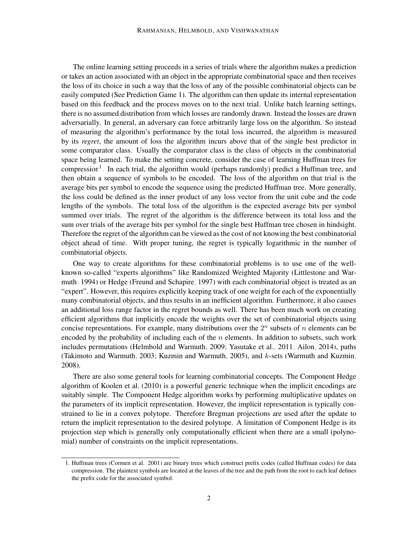The online learning setting proceeds in a series of trials where the algorithm makes a prediction or takes an action associated with an object in the appropriate combinatorial space and then receives the loss of its choice in such a way that the loss of any of the possible combinatorial objects can be easily computed (See Prediction Game [1\)](#page-0-0). The algorithm can then update its internal representation based on this feedback and the process moves on to the next trial. Unlike batch learning settings, there is no assumed distribution from which losses are randomly drawn. Instead the losses are drawn adversarially. In general, an adversary can force arbitrarily large loss on the algorithm. So instead of measuring the algorithm's performance by the total loss incurred, the algorithm is measured by its *regret*, the amount of loss the algorithm incurs above that of the single best predictor in some comparator class. Usually the comparator class is the class of objects in the combinatorial space being learned. To make the setting concrete, consider the case of learning Huffman trees for compression<sup>[1](#page-1-0)</sup>. In each trial, the algorithm would (perhaps randomly) predict a Huffman tree, and then obtain a sequence of symbols to be encoded. The loss of the algorithm on that trial is the average bits per symbol to encode the sequence using the predicted Huffman tree. More generally, the loss could be defined as the inner product of any loss vector from the unit cube and the code lengths of the symbols. The total loss of the algorithm is the expected average bits per symbol summed over trials. The regret of the algorithm is the difference between its total loss and the sum over trials of the average bits per symbol for the single best Huffman tree chosen in hindsight. Therefore the regret of the algorithm can be viewed as the cost of not knowing the best combinatorial object ahead of time. With proper tuning, the regret is typically logarithmic in the number of combinatorial objects.

One way to create algorithms for these combinatorial problems is to use one of the wellknown so-called "experts algorithms" like Randomized Weighted Majority [\(Littlestone and War](#page-13-2)[muth, 1994\)](#page-13-2) or Hedge [\(Freund and Schapire, 1997\)](#page-13-3) with each combinatorial object is treated as an "expert". However, this requires explicitly keeping track of one weight for each of the exponentially many combinatorial objects, and thus results in an inefficient algorithm. Furthermore, it also causes an additional loss range factor in the regret bounds as well. There has been much work on creating efficient algorithms that implicitly encode the weights over the set of combinatorial objects using concise representations. For example, many distributions over the  $2^n$  subsets of n elements can be encoded by the probability of including each of the  $n$  elements. In addition to subsets, such work includes permutations [\(Helmbold and Warmuth, 2009;](#page-13-4) [Yasutake et al., 2011;](#page-14-0) [Ailon, 2014\)](#page-12-0), paths [\(Takimoto and Warmuth, 2003;](#page-14-1) [Kuzmin and Warmuth, 2005\)](#page-13-5), and k-sets [\(Warmuth and Kuzmin,](#page-14-2) [2008\)](#page-14-2).

There are also some general tools for learning combinatorial concepts. The Component Hedge algorithm of [Koolen et al.](#page-13-6) [\(2010\)](#page-13-6) is a powerful generic technique when the implicit encodings are suitably simple. The Component Hedge algorithm works by performing multiplicative updates on the parameters of its implicit representation. However, the implicit representation is typically constrained to lie in a convex polytope. Therefore Bregman projections are used after the update to return the implicit representation to the desired polytope. A limitation of Component Hedge is its projection step which is generally only computationally efficient when there are a small (polynomial) number of constraints on the implicit representations.

<span id="page-1-0"></span><sup>1.</sup> Huffman trees [\(Cormen et al., 2001\)](#page-12-1) are binary trees which construct prefix codes (called Huffman codes) for data compression. The plaintext symbols are located at the leaves of the tree and the path from the root to each leaf defines the prefix code for the associated symbol.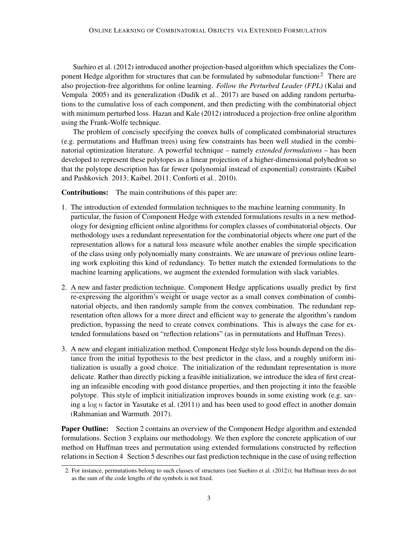[Suehiro et al.](#page-14-3) [\(2012\)](#page-14-3) introduced another projection-based algorithm which specializes the Com-ponent Hedge algorithm for structures that can be formulated by submodular functions<sup>[2](#page-2-0)</sup>. There are also projection-free algorithms for online learning. *Follow the Perturbed Leader (FPL)* [\(Kalai and](#page-13-7) [Vempala, 2005\)](#page-13-7) and its generalization [\(Dudík et al., 2017\)](#page-12-2) are based on adding random perturbations to the cumulative loss of each component, and then predicting with the combinatorial object with minimum perturbed loss. [Hazan and Kale](#page-13-8) [\(2012\)](#page-13-8) introduced a projection-free online algorithm using the Frank-Wolfe technique.

The problem of concisely specifying the convex hulls of complicated combinatorial structures (e.g. permutations and Huffman trees) using few constraints has been well studied in the combinatorial optimization literature. A powerful technique – namely *extended formulations* – has been developed to represent these polytopes as a linear projection of a higher-dimensional polyhedron so that the polytope description has far fewer (polynomial instead of exponential) constraints [\(Kaibel](#page-13-9) [and Pashkovich, 2013;](#page-13-9) [Kaibel, 2011;](#page-13-1) [Conforti et al., 2010\)](#page-12-3).

Contributions: The main contributions of this paper are:

- 1. The introduction of extended formulation techniques to the machine learning community. In particular, the fusion of Component Hedge with extended formulations results in a new methodology for designing efficient online algorithms for complex classes of combinatorial objects. Our methodology uses a redundant representation for the combinatorial objects where one part of the representation allows for a natural loss measure while another enables the simple specification of the class using only polynomially many constraints. We are unaware of previous online learning work exploiting this kind of redundancy. To better match the extended formulations to the machine learning applications, we augment the extended formulation with slack variables.
- 2. A new and faster prediction technique. Component Hedge applications usually predict by first re-expressing the algorithm's weight or usage vector as a small convex combination of combinatorial objects, and then randomly sample from the convex combination. The redundant representation often allows for a more direct and efficient way to generate the algorithm's random prediction, bypassing the need to create convex combinations. This is always the case for extended formulations based on "reflection relations" (as in permutations and Huffman Trees).
- 3. A new and elegant initialization method. Component Hedge style loss bounds depend on the distance from the initial hypothesis to the best predictor in the class, and a roughly uniform initialization is usually a good choice. The initialization of the redundant representation is more delicate. Rather than directly picking a feasible initialization, we introduce the idea of first creating an infeasible encoding with good distance properties, and then projecting it into the feasible polytope. This style of implicit initialization improves bounds in some existing work (e.g. saving a  $\log n$  factor in [Yasutake et al.](#page-14-0) [\(2011\)](#page-14-0)) and has been used to good effect in another domain [\(Rahmanian and Warmuth, 2017\)](#page-14-4).

Paper Outline: Section [2](#page-3-0) contains an overview of the Component Hedge algorithm and extended formulations. Section [3](#page-4-0) explains our methodology. We then explore the concrete application of our method on Huffman trees and permutation using extended formulations constructed by reflection relations in Section [4.](#page-7-0) Section [5](#page-9-0) describes our fast prediction technique in the case of using reflection

<span id="page-2-0"></span><sup>2.</sup> For instance, permutations belong to such classes of structures (see [Suehiro et al.](#page-14-3) [\(2012\)](#page-14-3)); but Huffman trees do not as the sum of the code lengths of the symbols is not fixed.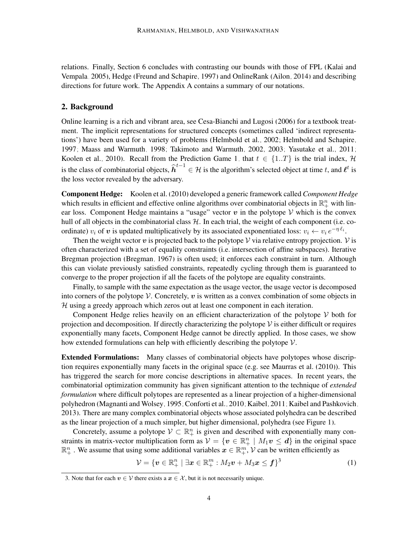relations. Finally, Section [6](#page-10-0) concludes with contrasting our bounds with those of FPL [\(Kalai and](#page-13-7) [Vempala, 2005\)](#page-13-7), Hedge [\(Freund and Schapire, 1997\)](#page-13-3) and OnlineRank [\(Ailon, 2014\)](#page-12-0) and describing directions for future work. The Appendix [A](#page-0-1) contains a summary of our notations.

#### <span id="page-3-0"></span>2. Background

Online learning is a rich and vibrant area, see [Cesa-Bianchi and Lugosi](#page-12-4) [\(2006\)](#page-12-4) for a textbook treatment. The implicit representations for structured concepts (sometimes called 'indirect representations') have been used for a variety of problems [\(Helmbold et al., 2002;](#page-13-10) [Helmbold and Schapire,](#page-13-11) [1997;](#page-13-11) [Maass and Warmuth, 1998;](#page-13-12) [Takimoto and Warmuth, 2002,](#page-14-5) [2003;](#page-14-1) [Yasutake et al., 2011;](#page-14-0) [Koolen et al., 2010\)](#page-13-6). Recall from the Prediction Game [1,](#page-0-0) that  $t \in \{1..T\}$  is the trial index, H is the class of combinatorial objects,  $\hat{h}^{t-1} \in \mathcal{H}$  is the algorithm's selected object at time t, and  $\ell^t$  is the loss vector revealed by the adversary.

Component Hedge: [Koolen et al.](#page-13-6) [\(2010\)](#page-13-6) developed a generic framework called *Component Hedge* which results in efficient and effective online algorithms over combinatorial objects in  $\mathbb{R}^n_+$  with linear loss. Component Hedge maintains a "usage" vector  $v$  in the polytope V which is the convex hull of all objects in the combinatorial class  $H$ . In each trial, the weight of each component (i.e. coordinate)  $v_i$  of  $v$  is updated multiplicatively by its associated exponentiated loss:  $v_i \leftarrow v_i e^{-\eta \ell_i}$ .

Then the weight vector  $v$  is projected back to the polytope  $V$  via relative entropy projection.  $V$  is often characterized with a set of equality constraints (i.e. intersection of affine subspaces). Iterative Bregman projection [\(Bregman, 1967\)](#page-12-5) is often used; it enforces each constraint in turn. Although this can violate previously satisfied constraints, repeatedly cycling through them is guaranteed to converge to the proper projection if all the facets of the polytope are equality constraints.

Finally, to sample with the same expectation as the usage vector, the usage vector is decomposed into corners of the polytope  $\mathcal V$ . Concretely,  $v$  is written as a convex combination of some objects in  $H$  using a greedy approach which zeros out at least one component in each iteration.

Component Hedge relies heavily on an efficient characterization of the polytope  $V$  both for projection and decomposition. If directly characterizing the polytope  $\mathcal V$  is either difficult or requires exponentially many facets, Component Hedge cannot be directly applied. In those cases, we show how extended formulations can help with efficiently describing the polytope  $V$ .

Extended Formulations: Many classes of combinatorial objects have polytopes whose discription requires exponentially many facets in the original space (e.g. see [Maurras et al.](#page-13-0) [\(2010\)](#page-13-0)). This has triggered the search for more concise descriptions in alternative spaces. In recent years, the combinatorial optimization community has given significant attention to the technique of *extended formulation* where difficult polytopes are represented as a linear projection of a higher-dimensional polyhedron [\(Magnanti and Wolsey, 1995;](#page-13-13) [Conforti et al., 2010;](#page-12-3) [Kaibel, 2011;](#page-13-1) [Kaibel and Pashkovich,](#page-13-9) [2013\)](#page-13-9). There are many complex combinatorial objects whose associated polyhedra can be described as the linear projection of a much simpler, but higher dimensional, polyhedra (see Figure [1\)](#page-4-1).

Concretely, assume a polytope  $\mathcal{V} \subset \mathbb{R}^n_+$  is given and described with exponentially many constraints in matrix-vector multiplication form as  $V = \{v \in \mathbb{R}^n_+ \mid M_1v \leq d\}$  in the original space  $\mathbb{R}^n_+$  . We assume that using some additional variables  $x \in \mathbb{R}^m_+$ ,  $\mathcal V$  can be written efficiently as

<span id="page-3-2"></span>
$$
\mathcal{V} = \{ \boldsymbol{v} \in \mathbb{R}_+^n \mid \exists \boldsymbol{x} \in \mathbb{R}_+^m : M_2 \boldsymbol{v} + M_3 \boldsymbol{x} \leq \boldsymbol{f} \}^3 \tag{1}
$$

<span id="page-3-1"></span><sup>3.</sup> Note that for each  $v \in V$  there exists a  $x \in \mathcal{X}$ , but it is not necessarily unique.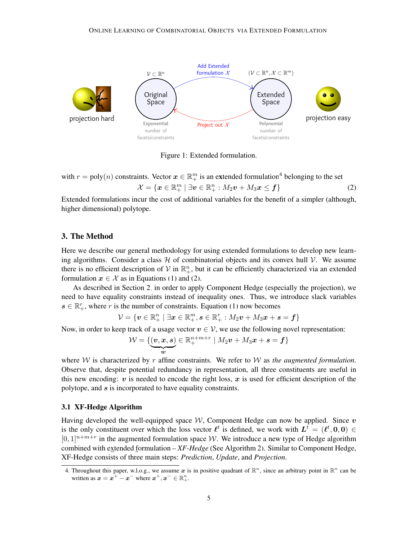

<span id="page-4-3"></span><span id="page-4-1"></span>Figure 1: Extended formulation.

with  $r = \text{poly}(n)$  constraints. Vector  $\boldsymbol{x} \in \mathbb{R}^m_+$  is an extended formulation<sup>[4](#page-4-2)</sup> belonging to the set  $\mathcal{X} = \{\boldsymbol{x} \in \mathbb{R}^m_+ \mid \exists \boldsymbol{v} \in \mathbb{R}^n_+ : M_2\boldsymbol{v} + M_3\boldsymbol{x} \leq \boldsymbol{f}\}\$  (2)

Extended formulations incur the cost of additional variables for the benefit of a simpler (although, higher dimensional) polytope.

#### <span id="page-4-0"></span>3. The Method

Here we describe our general methodology for using extended formulations to develop new learning algorithms. Consider a class  $H$  of combinatorial objects and its convex hull  $V$ . We assume there is no efficient description of  $V$  in  $\mathbb{R}^n_+$ , but it can be efficiently characterized via an extended formulation  $x \in \mathcal{X}$  as in Equations [\(1\)](#page-3-2) and [\(2\)](#page-4-3).

As described in Section [2,](#page-3-0) in order to apply Component Hedge (especially the projection), we need to have equality constraints instead of inequality ones. Thus, we introduce slack variables  $s \in \mathbb{R}_+^r$ , where r is the number of constraints. Equation [\(1\)](#page-3-2) now becomes

$$
\mathcal{V} = \{\boldsymbol{v} \in \mathbb{R}_+^n \mid \exists \boldsymbol{x} \in \mathbb{R}_+^m, \boldsymbol{s} \in \mathbb{R}_+^r: M_2 \boldsymbol{v} + M_3 \boldsymbol{x} + \boldsymbol{s} = \boldsymbol{f}\}
$$

Now, in order to keep track of a usage vector  $v \in V$ , we use the following novel representation:

<span id="page-4-4"></span>
$$
\mathcal{W} = \{(\underbrace{\boldsymbol{v}, \boldsymbol{x}, \boldsymbol{s}}_{\boldsymbol{w}}) \in \mathbb{R}^{n+m+r}_+ \mid M_2 \boldsymbol{v} + M_3 \boldsymbol{x} + \boldsymbol{s} = \boldsymbol{f}\}
$$

where  $W$  is characterized by r affine constraints. We refer to  $W$  as *the augmented formulation*. Observe that, despite potential redundancy in representation, all three constituents are useful in this new encoding:  $v$  is needed to encode the right loss,  $x$  is used for efficient description of the polytope, and  $s$  is incorporated to have equality constraints.

#### 3.1 XF-Hedge Algorithm

Having developed the well-equipped space  $W$ , Component Hedge can now be applied. Since v is the only constituent over which the loss vector  $\ell^t$  is defined, we work with  $L^t = (\ell^t, 0, 0) \in$  $[0,1]^{n+m+r}$  in the augmented formulation space W. We introduce a new type of Hedge algorithm combined with extended formulation – *XF-Hedge* (See Algorithm [2\)](#page-5-0). Similar to Component Hedge, XF-Hedge consists of three main steps: *Prediction*, *Update*, and *Projection*.

<span id="page-4-2"></span><sup>4.</sup> Throughout this paper, w.l.o.g., we assume  $x$  is in positive quadrant of  $\mathbb{R}^n$ , since an arbitrary point in  $\mathbb{R}^n$  can be written as  $x = x^+ - x^-$  where  $x^+, x^- \in \mathbb{R}_+^n$ .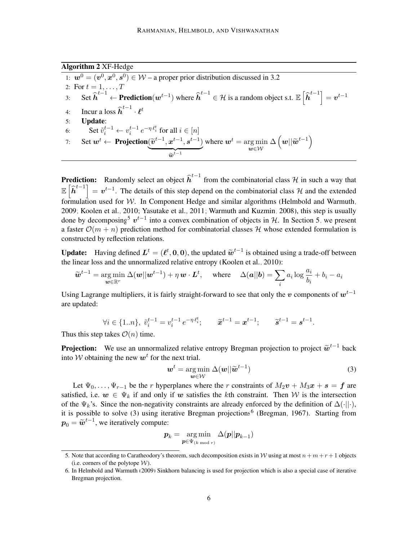Algorithm 2 XF-Hedge

1:  $w^0 = (v^0, x^0, s^0) \in W$  – a proper prior distribution discussed in [3.2](#page-6-0) 2: For  $t = 1, ..., T$ 3: Set  $\hat{h}^{t-1}$  ← **Prediction**( $w^{t-1}$ ) where  $\hat{h}^{t-1}$  ∈ H is a random object s.t.  $\mathbb{E}\left[\hat{h}^{t-1}\right] = v^{t-1}$ 4: Incur a loss  $\widehat{\boldsymbol{h}}^{t-1} \cdot \boldsymbol{\ell}^t$ 5: Update: 6: Set  $\tilde{v}_i^{t-1} \leftarrow v_i^{t-1} e^{-\eta \ell_i^t}$  for all  $i \in [n]$ i 7: Set  $w^t \leftarrow \text{Projection}(\widetilde{v}^{t-1}, x^{t-1}, s^{t-1})$  ${\widetilde{\bm{w}}}^{t-1}$ where  $\boldsymbol{w}^t = \arg \min$  $w{\in}\mathcal{W}$  $\Delta\left(\boldsymbol{w}||\widetilde{\boldsymbol{w}}^{t-1}\right)$ 

<span id="page-5-0"></span>**Prediction:** Randomly select an object  $\hat{h}^{t-1}$  from the combinatorial class H in such a way that  $\mathbb{E}\left[\hat{h}^{t-1}\right] = v^{t-1}$ . The details of this step depend on the combinatorial class H and the extended formulation used for  $W$ . In Component Hedge and similar algorithms [\(Helmbold and Warmuth,](#page-13-4) [2009;](#page-13-4) [Koolen et al., 2010;](#page-13-6) [Yasutake et al., 2011;](#page-14-0) [Warmuth and Kuzmin, 2008\)](#page-14-2), this step is usually done by decomposing<sup>[5](#page-5-1)</sup>  $v^{t-1}$  into a convex combination of objects in H. In Section [5,](#page-9-0) we present a faster  $\mathcal{O}(m + n)$  prediction method for combinatorial classes H whose extended formulation is constructed by reflection relations.

**Update:** Having defined  $L^t = (\ell^t, 0, 0)$ , the updated  $\tilde{w}^{t-1}$  is obtained using a trade-off between the linear loss and the unnormalized relative entropy (Koolen et al. 2010). the linear loss and the unnormalized relative entropy [\(Koolen et al., 2010\)](#page-13-6):

$$
\widetilde{\boldsymbol{w}}^{t-1} = \underset{\boldsymbol{w} \in \mathbb{R}^r}{\arg \min} \ \Delta(\boldsymbol{w}||\boldsymbol{w}^{t-1}) + \eta \, \boldsymbol{w} \cdot \boldsymbol{L}^t, \quad \text{ where } \quad \Delta(\boldsymbol{a}||\boldsymbol{b}) = \sum_i a_i \log \frac{a_i}{b_i} + b_i - a_i
$$

Using Lagrange multipliers, it is fairly straight-forward to see that only the v components of  $w^{t-1}$ are updated:

$$
\forall i \in \{1..n\}, \ \tilde{v}_i^{t-1} = v_i^{t-1} e^{-\eta \ell_i^t}; \qquad \tilde{x}^{t-1} = x^{t-1}; \qquad \tilde{s}^{t-1} = s^{t-1}.
$$

Thus this step takes  $\mathcal{O}(n)$  time.

**Projection:** We use an unnormalized relative entropy Bregman projection to project  $\tilde{\boldsymbol{w}}^{t-1}$  back into M obtaining the new en<sup>t</sup> for the next trial into W obtaining the new  $w^t$  for the next trial.

$$
\boldsymbol{w}^{t} = \underset{\boldsymbol{w} \in \mathcal{W}}{\arg \min} \ \Delta(\boldsymbol{w} || \widetilde{\boldsymbol{w}}^{t-1}) \tag{3}
$$

Let  $\Psi_0, \ldots, \Psi_{r-1}$  be the r hyperplanes where the r constraints of  $M_2v + M_3x + s = f$  are satisfied, i.e.  $w \in \Psi_k$  if and only if w satisfies the kth constraint. Then W is the intersection of the  $\Psi_k$ 's. Since the non-negativity constraints are already enforced by the definition of  $\Delta(\cdot||\cdot)$ , it is possible to solve [\(3\)](#page-4-4) using iterative Bregman projections<sup>[6](#page-5-2)</sup> [\(Bregman, 1967\)](#page-12-5). Starting from  $p_0 = \widetilde{\boldsymbol{w}}^{t-1}$ , we iteratively compute:

$$
\boldsymbol{p}_k = \argmin_{\boldsymbol{p} \in \Psi_{(k \bmod r)}} \Delta(\boldsymbol{p} || \boldsymbol{p}_{k-1})
$$

<span id="page-5-1"></span><sup>5.</sup> Note that according to Caratheodory's theorem, such decomposition exists in W using at most  $n+m+r+1$  objects (i.e. corners of the polytope  $W$ ).

<span id="page-5-2"></span><sup>6.</sup> In [Helmbold and Warmuth](#page-13-4) [\(2009\)](#page-13-4) Sinkhorn balancing is used for projection which is also a special case of iterative Bregman projection.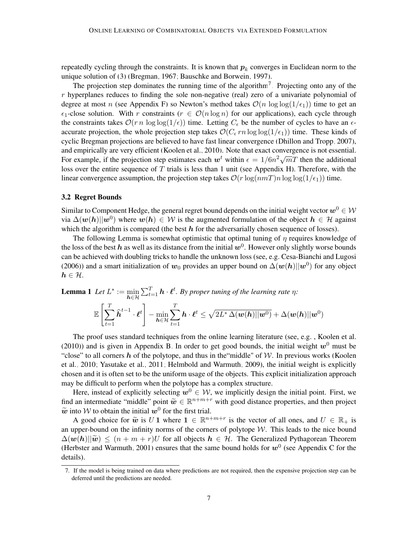repeatedly cycling through the constraints. It is known that  $p_k$  converges in Euclidean norm to the unique solution of [\(3\)](#page-4-4) [\(Bregman, 1967;](#page-12-5) [Bauschke and Borwein, 1997\)](#page-12-6).

The projection step dominates the running time of the algorithm<sup>[7](#page-6-1)</sup>. Projecting onto any of the  $r$  hyperplanes reduces to finding the sole non-negative (real) zero of a univariate polynomial of degree at most n (see Appendix [F\)](#page-10-0) so Newton's method takes  $\mathcal{O}(n \log \log(1/\epsilon_1))$  time to get an  $\epsilon_1$ -close solution. With r constraints ( $r \in \mathcal{O}(n \log n)$  for our applications), each cycle through the constraints takes  $\mathcal{O}(r n \log \log(1/\epsilon))$  time. Letting  $C_{\epsilon}$  be the number of cycles to have an  $\epsilon$ accurate projection, the whole projection step takes  $\mathcal{O}(C_{\epsilon}rn \log \log(1/\epsilon_1))$  time. These kinds of cyclic Bregman projections are believed to have fast linear convergence [\(Dhillon and Tropp, 2007\)](#page-12-7), and empirically are very efficient [\(Koolen et al., 2010\)](#page-13-6). Note that exact convergence is not essential. For example, if the projection step estimates each  $w^t$  within  $\epsilon = 1/6n^2\sqrt{m}T$  then the additional loss over the entire sequence of  $T$  trials is less than 1 unit (see Appendix [H\)](#page-19-0). Therefore, with the linear convergence assumption, the projection step takes  $\mathcal{O}(r \log(mT)n \log \log(1/\epsilon_1))$  time.

#### <span id="page-6-0"></span>3.2 Regret Bounds

Similar to Component Hedge, the general regret bound depends on the initial weight vector  $w^0 \in \mathcal{W}$ via  $\Delta(w(h)||w^0)$  where  $w(h) \in \mathcal{W}$  is the augmented formulation of the object  $h \in \mathcal{H}$  against which the algorithm is compared (the best  $h$  for the adversarially chosen sequence of losses).

The following Lemma is somewhat optimistic that optimal tuning of  $\eta$  requires knowledge of the loss of the best  $h$  as well as its distance from the initial  $w^0$ . However only slightly worse bounds can be achieved with doubling tricks to handle the unknown loss (see, e.g. [Cesa-Bianchi and Lugosi](#page-12-4) [\(2006\)](#page-12-4)) and a smart initialization of  $w_0$  provides an upper bound on  $\Delta(w(h)||w^0)$  for any object  $h \in \mathcal{H}$ .

<span id="page-6-2"></span>**Lemma 1** Let 
$$
L^* := \min_{h \in \mathcal{H}} \sum_{t=1}^T \mathbf{h} \cdot \boldsymbol{\ell}^t
$$
. By proper tuning of the learning rate  $\eta$ :  
\n
$$
\mathbb{E}\left[\sum_{t=1}^T \widehat{\mathbf{h}}^{t-1} \cdot \boldsymbol{\ell}^t\right] - \min_{h \in \mathcal{H}} \sum_{t=1}^T \mathbf{h} \cdot \boldsymbol{\ell}^t \leq \sqrt{2L^* \Delta(\boldsymbol{w}(h)||\boldsymbol{w}^0)} + \Delta(\boldsymbol{w}(h)||\boldsymbol{w}^0)
$$

The proof uses standard techniques from the online learning literature (see, e.g. , [Koolen et al.](#page-13-6) [\(2010\)](#page-13-6)) and is given in Appendix [B.](#page-3-0) In order to get good bounds, the initial weight  $w^0$  must be "close" to all corners h of the polytope, and thus in the "middle" of  $W$ . In previous works [\(Koolen](#page-13-6) [et al., 2010;](#page-13-6) [Yasutake et al., 2011;](#page-14-0) [Helmbold and Warmuth, 2009\)](#page-13-4), the initial weight is explicitly chosen and it is often set to be the uniform usage of the objects. This explicit initialization approach may be difficult to perform when the polytope has a complex structure.

Here, instead of explicitly selecting  $w^0 \in W$ , we implicitly design the initial point. First, we find an intermediate "middle" point  $\tilde{w} \in \mathbb{R}^{n+m+r}$  with good distance properties, and then project  $\tilde{w}$  into  $\mathcal{W}$  to obtain the initial  $w^0$  for the first trial  $\widetilde{\boldsymbol{w}}$  into W to obtain the initial  $\boldsymbol{w}^0$  for the first trial.

A good choice for  $\tilde{w}$  is U 1 where  $1 \in \mathbb{R}^{n+m+r}$  is the vector of all ones, and  $U \in \mathbb{R}_+$  is an upper-bound on the infinity norms of the corners of polytope  $W$ . This leads to the nice bound  $\Delta(w(h)||\tilde{w}) \leq (n+m+r)U$  for all objects  $h \in \mathcal{H}$ . The Generalized Pythagorean Theorem [\(Herbster and Warmuth, 2001\)](#page-13-14) ensures that the same bound holds for  $w^0$  (see Appendix [C](#page-4-0) for the details).

<span id="page-6-3"></span><span id="page-6-1"></span><sup>7.</sup> If the model is being trained on data where predictions are not required, then the expensive projection step can be deferred until the predictions are needed.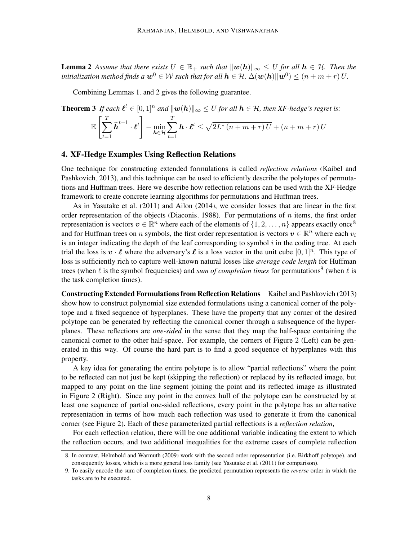**Lemma 2** Assume that there exists  $U \in \mathbb{R}_+$  such that  $\|\mathbf{w}(h)\|_{\infty} \leq U$  for all  $h \in \mathcal{H}$ . Then the initialization method finds a  $\bm{w}^0\in\mathcal{W}$  such that for all  $\bm{h}\in\mathcal{H}$ ,  $\Delta(\bm{w}(\bm{h})||\bm{w}^0)\leq (n+m+r)\,U.$ 

Combining Lemmas [1,](#page-6-2) and [2](#page-6-3) gives the following guarantee.

<span id="page-7-3"></span>**Theorem 3** If each  $\ell^t \in [0, 1]^n$  and  $\|\boldsymbol{w}(h)\|_{\infty} \leq U$  for all  $h \in \mathcal{H}$ , then XF-hedge's regret is:

$$
\mathbb{E}\left[\sum_{t=1}^T \widehat{\boldsymbol{h}}^{t-1} \cdot \boldsymbol{\ell}^t\right] - \min_{\boldsymbol{h} \in \mathcal{H}} \sum_{t=1}^T \boldsymbol{h} \cdot \boldsymbol{\ell}^t \leq \sqrt{2L^*(n+m+r)}\,U + (n+m+r)\,U
$$

#### <span id="page-7-0"></span>4. XF-Hedge Examples Using Reflection Relations

One technique for constructing extended formulations is called *reflection relations* [\(Kaibel and](#page-13-9) [Pashkovich, 2013\)](#page-13-9), and this technique can be used to efficiently describe the polytopes of permutations and Huffman trees. Here we describe how reflection relations can be used with the XF-Hedge framework to create concrete learning algorithms for permutations and Huffman trees.

As in [Yasutake et al.](#page-14-0) [\(2011\)](#page-14-0) and [Ailon](#page-12-0) [\(2014\)](#page-12-0), we consider losses that are linear in the first order representation of the objects [\(Diaconis, 1988\)](#page-12-8). For permutations of  $n$  items, the first order representation is vectors  $v \in \mathbb{R}^n$  where each of the elements of  $\{1, 2, \ldots, n\}$  appears exactly once<sup>[8](#page-7-1)</sup> and for Huffman trees on n symbols, the first order representation is vectors  $v \in \mathbb{R}^n$  where each  $v_i$ is an integer indicating the depth of the leaf corresponding to symbol  $i$  in the coding tree. At each trial the loss is  $v \cdot \ell$  where the adversary's  $\ell$  is a loss vector in the unit cube  $[0, 1]^n$ . This type of loss is sufficiently rich to capture well-known natural losses like *average code length* for Huffman trees (when  $\ell$  is the symbol frequencies) and *sum of completion times* for permutations<sup>[9](#page-7-2)</sup> (when  $\ell$  is the task completion times).

Constructing Extended Formulations from Reflection Relations [Kaibel and Pashkovich](#page-13-9) [\(2013\)](#page-13-9) show how to construct polynomial size extended formulations using a canonical corner of the polytope and a fixed sequence of hyperplanes. These have the property that any corner of the desired polytope can be generated by reflecting the canonical corner through a subsequence of the hyperplanes. These reflections are *one-sided* in the sense that they map the half-space containing the canonical corner to the other half-space. For example, the corners of Figure [2](#page-8-0) (Left) can be generated in this way. Of course the hard part is to find a good sequence of hyperplanes with this property.

A key idea for generating the entire polytope is to allow "partial reflections" where the point to be reflected can not just be kept (skipping the reflection) or replaced by its reflected image, but mapped to any point on the line segment joining the point and its reflected image as illustrated in Figure [2](#page-8-0) (Right). Since any point in the convex hull of the polytope can be constructed by at least one sequence of partial one-sided reflections, every point in the polytope has an alternative representation in terms of how much each reflection was used to generate it from the canonical corner (see Figure [2\)](#page-8-0). Each of these parameterized partial reflections is a *reflection relation*,

For each reflection relation, there will be one additional variable indicating the extent to which the reflection occurs, and two additional inequalities for the extreme cases of complete reflection

<span id="page-7-1"></span><sup>8.</sup> In contrast, [Helmbold and Warmuth](#page-13-4) [\(2009\)](#page-13-4) work with the second order representation (i.e. Birkhoff polytope), and consequently losses, which is a more general loss family (see [Yasutake et al.](#page-14-0) [\(2011\)](#page-14-0) for comparison).

<span id="page-7-2"></span><sup>9.</sup> To easily encode the sum of completion times, the predicted permutation represents the *reverse* order in which the tasks are to be executed.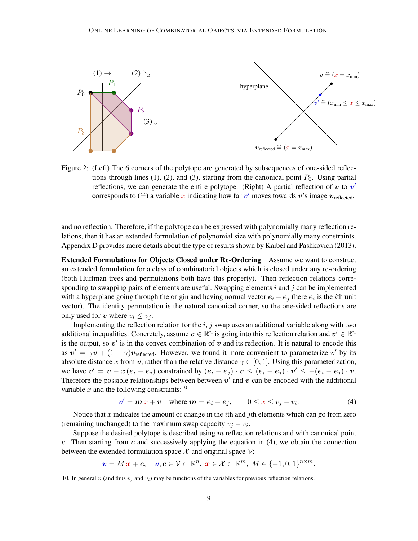

<span id="page-8-0"></span>Figure 2: (Left) The 6 corners of the polytope are generated by subsequences of one-sided reflections through lines (1), (2), and (3), starting from the canonical point  $P_0$ . Using partial reflections, we can generate the entire polytope. (Right) A partial reflection of  $v$  to  $v'$ corresponds to  $(\widehat{=})$  a variable x indicating how far  $v'$  moves towards v's image  $v_{\text{reflected}}$ .

and no reflection. Therefore, if the polytope can be expressed with polynomially many reflection relations, then it has an extended formulation of polynomial size with polynomially many constraints. Appendix [D](#page-7-0) provides more details about the type of results shown by [Kaibel and Pashkovich](#page-13-9) [\(2013\)](#page-13-9).

Extended Formulations for Objects Closed under Re-Ordering Assume we want to construct an extended formulation for a class of combinatorial objects which is closed under any re-ordering (both Huffman trees and permutations both have this property). Then reflection relations corresponding to swapping pairs of elements are useful. Swapping elements  $i$  and  $j$  can be implemented with a hyperplane going through the origin and having normal vector  $e_i - e_j$  (here  $e_i$  is the *i*th unit vector). The identity permutation is the natural canonical corner, so the one-sided reflections are only used for v where  $v_i \le v_j$ .

Implementing the reflection relation for the  $i, j$  swap uses an additional variable along with two additional inequalities. Concretely, assume  $v \in \mathbb{R}^n$  is going into this reflection relation and  $v' \in \mathbb{R}^n$ is the output, so  $v'$  is in the convex combination of  $v$  and its reflection. It is natural to encode this as  $v' = \gamma v + (1 - \gamma)v_{\text{reflected}}$ . However, we found it more convenient to parameterize v' by its absolute distance x from v, rather than the relative distance  $\gamma \in [0, 1]$ . Using this parameterization, we have  $v' = v + x (e_i - e_j)$  constrained by  $(e_i - e_j) \cdot v \leq (e_i - e_j) \cdot v' \leq -(e_i - e_j) \cdot v$ . Therefore the possible relationships between between  $v'$  and v can be encoded with the additional variable x and the following constraints:  $10$ 

<span id="page-8-2"></span>
$$
v' = m x + v \quad \text{where } m = e_i - e_j, \qquad 0 \le x \le v_j - v_i. \tag{4}
$$

Notice that x indicates the amount of change in the *i*th and *j*th elements which can go from zero (remaining unchanged) to the maximum swap capacity  $v_j - v_i$ .

Suppose the desired polytope is described using m reflection relations and with canonical point c. Then starting from c and successively applying the equation in  $(4)$ , we obtain the connection between the extended formulation space  $\mathcal X$  and original space  $\mathcal V$ :

 $v = M x + c, \quad v, c \in \mathcal{V} \subset \mathbb{R}^n, x \in \mathcal{X} \subset \mathbb{R}^m, M \in \{-1, 0, 1\}^{n \times m}.$ 

<span id="page-8-1"></span><sup>10.</sup> In general v (and thus  $v_i$  and  $v_i$ ) may be functions of the variables for previous reflection relations.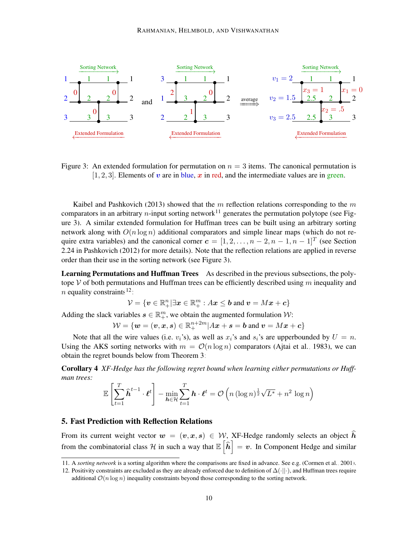

<span id="page-9-2"></span>Figure 3: An extended formulation for permutation on  $n = 3$  items. The canonical permutation is [1, 2, 3]. Elements of  $v$  are in blue,  $x$  in red, and the intermediate values are in green.

[Kaibel and Pashkovich](#page-13-9) [\(2013\)](#page-13-9) showed that the  $m$  reflection relations corresponding to the  $m$ comparators in an arbitrary *n*-input sorting network<sup>[11](#page-9-1)</sup> generates the permutation polytope (see Figure [3\)](#page-9-2). A similar extended formulation for Huffman trees can be built using an arbitrary sorting network along with  $O(n \log n)$  additional comparators and simple linear maps (which do not require extra variables) and the canonical corner  $\mathbf{c} = [1, 2, \dots, n-2, n-1, n-1]^T$  (see Section 2.24 in [Pashkovich](#page-13-15) [\(2012\)](#page-13-15) for more details). Note that the reflection relations are applied in reverse order than their use in the sorting network (see Figure [3\)](#page-9-2).

Learning Permutations and Huffman Trees As described in the previous subsections, the polytope V of both permutations and Huffman trees can be efficiently described using  $m$  inequality and *n* equality constraints<sup>[12](#page-9-3)</sup>:

$$
\mathcal{V} = \{ \boldsymbol{v} \in \mathbb{R}_+^n | \exists \boldsymbol{x} \in \mathbb{R}_+^m : A \boldsymbol{x} \leq \boldsymbol{b} \text{ and } \boldsymbol{v} = M \boldsymbol{x} + \boldsymbol{c} \}
$$

Adding the slack variables  $s \in \mathbb{R}^m_+$ , we obtain the augmented formulation  $\mathcal{W}$ :

 $\mathcal{W} = \{\boldsymbol{w} = (\boldsymbol{v}, \boldsymbol{x}, \boldsymbol{s}) \in \mathbb{R}^{n+2m}_+ | A \boldsymbol{x} + \boldsymbol{s} = \boldsymbol{b} \text{ and } \boldsymbol{v} = M \boldsymbol{x} + \boldsymbol{c} \}$ 

Note that all the wire values (i.e.  $v_i$ 's), as well as  $x_i$ 's and  $s_i$ 's are upperbounded by  $U = n$ . Using the AKS sorting networks with  $m = \mathcal{O}(n \log n)$  comparators [\(Ajtai et al., 1983\)](#page-12-9), we can obtain the regret bounds below from Theorem [3:](#page-7-3)

Corollary 4 *XF-Hedge has the following regret bound when learning either permutations or Huffman trees:*

$$
\mathbb{E}\left[\sum_{t=1}^T \widehat{\boldsymbol{h}}^{t-1} \cdot \boldsymbol{\ell}^t\right] - \min_{\boldsymbol{h} \in \mathcal{H}} \sum_{t=1}^T \boldsymbol{h} \cdot \boldsymbol{\ell}^t = \mathcal{O}\left(n\left(\log n\right)^{\frac{1}{2}} \sqrt{L^*} + n^2 \log n\right)
$$

# <span id="page-9-0"></span>5. Fast Prediction with Reflection Relations

From its current weight vector  $w = (v, x, s) \in W$ , XF-Hedge randomly selects an object  $\hat{h}$ from the combinatorial class  $\mathcal H$  in such a way that  $\mathbb E\left[\widehat{\boldsymbol h}\right] = \boldsymbol v$ . In Component Hedge and similar

<span id="page-9-1"></span>11. A *sorting network* is a sorting algorithm where the comparisons are fixed in advance. See e.g. [\(Cormen et al., 2001\)](#page-12-1).

<span id="page-9-3"></span><sup>12.</sup> Positivity constraints are excluded as they are already enforced due to definition of ∆(·||·), and Huffman trees require additional  $\mathcal{O}(n \log n)$  inequality constraints beyond those corresponding to the sorting network.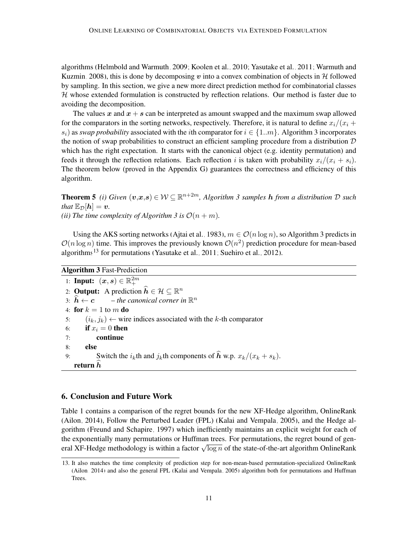algorithms [\(Helmbold and Warmuth, 2009;](#page-13-4) [Koolen et al., 2010;](#page-13-6) [Yasutake et al., 2011;](#page-14-0) [Warmuth and](#page-14-2) [Kuzmin, 2008\)](#page-14-2), this is done by decomposing v into a convex combination of objects in  $H$  followed by sampling. In this section, we give a new more direct prediction method for combinatorial classes  $H$  whose extended formulation is constructed by reflection relations. Our method is faster due to avoiding the decomposition.

The values x and  $x + s$  can be interpreted as amount swapped and the maximum swap allowed for the comparators in the sorting networks, respectively. Therefore, it is natural to define  $x_i/(x_i +$  $s_i$ ) as *swap probability* associated with the *i*th comparator for  $i \in \{1..m\}$ . Algorithm [3](#page-10-1) incorporates the notion of swap probabilities to construct an efficient sampling procedure from a distribution  $D$ which has the right expectation. It starts with the canonical object (e.g. identity permutation) and feeds it through the reflection relations. Each reflection i is taken with probability  $x_i/(x_i + s_i)$ . The theorem below (proved in the Appendix [G\)](#page-18-0) guarantees the correctness and efficiency of this algorithm.

<span id="page-10-3"></span>**Theorem 5** (i) Given  $(v,x,s) \in \mathcal{W} \subseteq \mathbb{R}^{n+2m}$ , Algorithm [3](#page-10-1) samples **h** from a distribution  $\mathcal{D}$  such *that*  $\mathbb{E}_{\mathcal{D}}[h] = v$ . *(ii)* The time complexity of Algorithm [3](#page-10-1) is  $O(n + m)$ .

Using the AKS sorting networks [\(Ajtai et al., 1983\)](#page-12-9),  $m \in \mathcal{O}(n \log n)$ , so Algorithm [3](#page-10-1) predicts in  $\mathcal{O}(n \log n)$  time. This improves the previously known  $\mathcal{O}(n^2)$  prediction procedure for mean-based algorithms<sup>[13](#page-10-2)</sup> for permutations [\(Yasutake et al., 2011;](#page-14-0) [Suehiro et al., 2012\)](#page-14-3).

Algorithm 3 Fast-Prediction

1: Input:  $(x, s) \in \mathbb{R}_+^{2m}$ 2: **Output:** A prediction  $\widehat{h} \in \mathcal{H} \subseteq \mathbb{R}^n$ 3:  $\widehat{h} \leftarrow c$  – *the canonical corner in*  $\mathbb{R}^n$ 4: for  $k = 1$  to m do 5:  $(i_k, j_k) \leftarrow$  wire indices associated with the k-th comparator 6: if  $x_i = 0$  then 7: continue 8: else 9: Switch the  $i_k$ th and  $j_k$ th components of  $\hat{h}$  w.p.  $x_k/(x_k + s_k)$ . return  $h$ 

# <span id="page-10-1"></span><span id="page-10-0"></span>6. Conclusion and Future Work

Table [1](#page-11-0) contains a comparison of the regret bounds for the new XF-Hedge algorithm, OnlineRank [\(Ailon, 2014\)](#page-12-0), Follow the Perturbed Leader (FPL) [\(Kalai and Vempala, 2005\)](#page-13-7), and the Hedge algorithm [\(Freund and Schapire, 1997\)](#page-13-3) which inefficiently maintains an explicit weight for each of the exponentially many permutations or Huffman trees. For permutations, the regret bound of genthe exponentially many permutations of Humman trees. For permutations, the regret bound of general XF-Hedge methodology is within a factor  $\sqrt{\log n}$  of the state-of-the-art algorithm OnlineRank

<span id="page-10-2"></span><sup>13.</sup> It also matches the time complexity of prediction step for non-mean-based permutation-specialized OnlineRank [\(Ailon, 2014\)](#page-12-0) and also the general FPL [\(Kalai and Vempala, 2005\)](#page-13-7) algorithm both for permutations and Huffman Trees.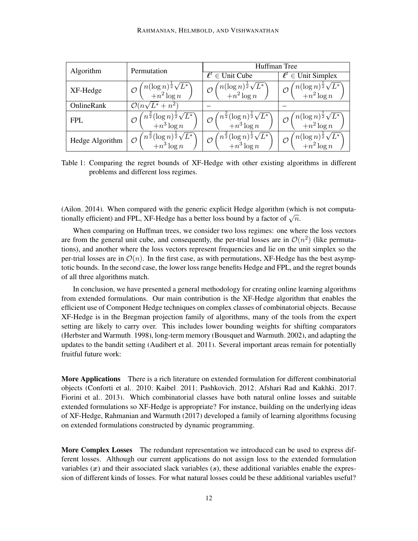<span id="page-11-0"></span>

| Algorithm       | Permutation                                                                           | Huffman Tree                                                                            |                                                                                     |
|-----------------|---------------------------------------------------------------------------------------|-----------------------------------------------------------------------------------------|-------------------------------------------------------------------------------------|
|                 |                                                                                       | $\ell^t \in$ Unit Cube                                                                  | $\ell^t \in$ Unit Simplex                                                           |
| XF-Hedge        | $\binom{n(\log n)^{\frac{1}{2}}\sqrt{L^*}}{+n^2\log n}$                               | $\binom{n(\log n)^{\frac{1}{2}}\sqrt{L^*}}{+n^2\log n}$<br>$\mathcal{O}$                | $\mathcal{O}\left(\frac{n(\log n)^{\frac{1}{2}}\sqrt{L^*}}{+n^2\log n}\right)$      |
| OnlineRank      | $\mathcal{O}(n\sqrt{L^*}+n^2)$                                                        |                                                                                         |                                                                                     |
| <b>FPL</b>      | $\big\langle n^{\frac{3}{2}}(\log n)^{\frac{1}{2}}\sqrt{L^*}\big\rangle\ +n^3\log n$  | $\binom{n^{\frac{3}{2}}(\log n)^{\frac{1}{2}}\sqrt{L^*}}{+n^3\log n}$<br>$\mathcal{O}$  | $\begin{array}{c} \sqrt{n}(\log n)^{\frac{1}{2}}\sqrt{L^*}\\+n^2\log n \end{array}$ |
| Hedge Algorithm | $\big\langle n^{\frac{3}{2}}(\log n)^{\frac{1}{2}}\sqrt{L^*}\big\rangle \ +n^3\log n$ | $\sqrt[n^{\frac{3}{2}}(\log n)^{\frac{1}{2}}\sqrt{L^*}}$ + $n^3\log n$<br>$\mathcal{O}$ | $\begin{pmatrix} n(\log n)^{\frac{1}{2}}\sqrt{L^*} \\ +n^2\log n \end{pmatrix}$     |

Table 1: Comparing the regret bounds of XF-Hedge with other existing algorithms in different problems and different loss regimes.

[\(Ailon, 2014\)](#page-12-0). When compared with the generic explicit Hedge algorithm (which is not computa-(Anon, 2014). When compared with the generic explicit riedge algorithm (with tionally efficient) and FPL, XF-Hedge has a better loss bound by a factor of  $\sqrt{n}$ .

When comparing on Huffman trees, we consider two loss regimes: one where the loss vectors are from the general unit cube, and consequently, the per-trial losses are in  $\mathcal{O}(n^2)$  (like permutations), and another where the loss vectors represent frequencies and lie on the unit simplex so the per-trial losses are in  $\mathcal{O}(n)$ . In the first case, as with permutations, XF-Hedge has the best asymptotic bounds. In the second case, the lower loss range benefits Hedge and FPL, and the regret bounds of all three algorithms match.

In conclusion, we have presented a general methodology for creating online learning algorithms from extended formulations. Our main contribution is the XF-Hedge algorithm that enables the efficient use of Component Hedge techniques on complex classes of combinatorial objects. Because XF-Hedge is in the Bregman projection family of algorithms, many of the tools from the expert setting are likely to carry over. This includes lower bounding weights for shifting comparators [\(Herbster and Warmuth, 1998\)](#page-13-16), long-term memory [\(Bousquet and Warmuth, 2002\)](#page-12-10), and adapting the updates to the bandit setting [\(Audibert et al., 2011\)](#page-12-11). Several important areas remain for potentially fruitful future work:

More Applications There is a rich literature on extended formulation for different combinatorial objects [\(Conforti et al., 2010;](#page-12-3) [Kaibel, 2011;](#page-13-1) [Pashkovich, 2012;](#page-13-15) [Afshari Rad and Kakhki, 2017;](#page-12-12) [Fiorini et al., 2013\)](#page-12-13). Which combinatorial classes have both natural online losses and suitable extended formulations so XF-Hedge is appropriate? For instance, building on the underlying ideas of XF-Hedge, [Rahmanian and Warmuth](#page-14-4) [\(2017\)](#page-14-4) developed a family of learning algorithms focusing on extended formulations constructed by dynamic programming.

More Complex Losses The redundant representation we introduced can be used to express different losses. Although our current applications do not assign loss to the extended formulation variables  $(x)$  and their associated slack variables  $(s)$ , these additional variables enable the expression of different kinds of losses. For what natural losses could be these additional variables useful?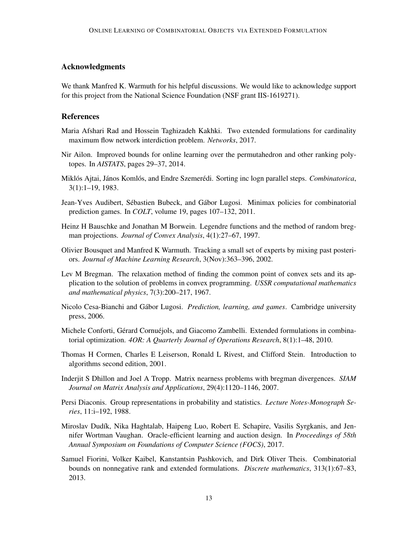# Acknowledgments

We thank Manfred K. Warmuth for his helpful discussions. We would like to acknowledge support for this project from the National Science Foundation (NSF grant IIS-1619271).

#### References

- <span id="page-12-12"></span>Maria Afshari Rad and Hossein Taghizadeh Kakhki. Two extended formulations for cardinality maximum flow network interdiction problem. *Networks*, 2017.
- <span id="page-12-0"></span>Nir Ailon. Improved bounds for online learning over the permutahedron and other ranking polytopes. In *AISTATS*, pages 29–37, 2014.
- <span id="page-12-9"></span>Miklós Ajtai, János Komlós, and Endre Szemerédi. Sorting inc logn parallel steps. *Combinatorica*, 3(1):1–19, 1983.
- <span id="page-12-11"></span>Jean-Yves Audibert, Sébastien Bubeck, and Gábor Lugosi. Minimax policies for combinatorial prediction games. In *COLT*, volume 19, pages 107–132, 2011.
- <span id="page-12-6"></span>Heinz H Bauschke and Jonathan M Borwein. Legendre functions and the method of random bregman projections. *Journal of Convex Analysis*, 4(1):27–67, 1997.
- <span id="page-12-10"></span>Olivier Bousquet and Manfred K Warmuth. Tracking a small set of experts by mixing past posteriors. *Journal of Machine Learning Research*, 3(Nov):363–396, 2002.
- <span id="page-12-5"></span>Lev M Bregman. The relaxation method of finding the common point of convex sets and its application to the solution of problems in convex programming. *USSR computational mathematics and mathematical physics*, 7(3):200–217, 1967.
- <span id="page-12-4"></span>Nicolo Cesa-Bianchi and Gábor Lugosi. *Prediction, learning, and games*. Cambridge university press, 2006.
- <span id="page-12-3"></span>Michele Conforti, Gérard Cornuéjols, and Giacomo Zambelli. Extended formulations in combinatorial optimization. *4OR: A Quarterly Journal of Operations Research*, 8(1):1–48, 2010.
- <span id="page-12-1"></span>Thomas H Cormen, Charles E Leiserson, Ronald L Rivest, and Clifford Stein. Introduction to algorithms second edition, 2001.
- <span id="page-12-7"></span>Inderjit S Dhillon and Joel A Tropp. Matrix nearness problems with bregman divergences. *SIAM Journal on Matrix Analysis and Applications*, 29(4):1120–1146, 2007.
- <span id="page-12-8"></span>Persi Diaconis. Group representations in probability and statistics. *Lecture Notes-Monograph Series*, 11:i–192, 1988.
- <span id="page-12-2"></span>Miroslav Dudík, Nika Haghtalab, Haipeng Luo, Robert E. Schapire, Vasilis Syrgkanis, and Jennifer Wortman Vaughan. Oracle-efficient learning and auction design. In *Proceedings of 58th Annual Symposium on Foundations of Computer Science (FOCS)*, 2017.
- <span id="page-12-13"></span>Samuel Fiorini, Volker Kaibel, Kanstantsin Pashkovich, and Dirk Oliver Theis. Combinatorial bounds on nonnegative rank and extended formulations. *Discrete mathematics*, 313(1):67–83, 2013.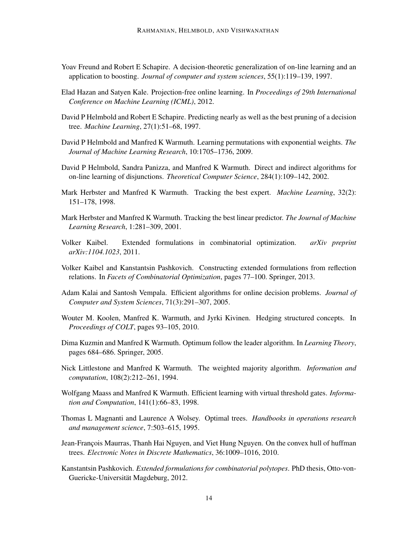- <span id="page-13-3"></span>Yoav Freund and Robert E Schapire. A decision-theoretic generalization of on-line learning and an application to boosting. *Journal of computer and system sciences*, 55(1):119–139, 1997.
- <span id="page-13-8"></span>Elad Hazan and Satyen Kale. Projection-free online learning. In *Proceedings of 29th International Conference on Machine Learning (ICML)*, 2012.
- <span id="page-13-11"></span>David P Helmbold and Robert E Schapire. Predicting nearly as well as the best pruning of a decision tree. *Machine Learning*, 27(1):51–68, 1997.
- <span id="page-13-4"></span>David P Helmbold and Manfred K Warmuth. Learning permutations with exponential weights. *The Journal of Machine Learning Research*, 10:1705–1736, 2009.
- <span id="page-13-10"></span>David P Helmbold, Sandra Panizza, and Manfred K Warmuth. Direct and indirect algorithms for on-line learning of disjunctions. *Theoretical Computer Science*, 284(1):109–142, 2002.
- <span id="page-13-16"></span>Mark Herbster and Manfred K Warmuth. Tracking the best expert. *Machine Learning*, 32(2): 151–178, 1998.
- <span id="page-13-14"></span>Mark Herbster and Manfred K Warmuth. Tracking the best linear predictor. *The Journal of Machine Learning Research*, 1:281–309, 2001.
- <span id="page-13-1"></span>Volker Kaibel. Extended formulations in combinatorial optimization. *arXiv preprint arXiv:1104.1023*, 2011.
- <span id="page-13-9"></span>Volker Kaibel and Kanstantsin Pashkovich. Constructing extended formulations from reflection relations. In *Facets of Combinatorial Optimization*, pages 77–100. Springer, 2013.
- <span id="page-13-7"></span>Adam Kalai and Santosh Vempala. Efficient algorithms for online decision problems. *Journal of Computer and System Sciences*, 71(3):291–307, 2005.
- <span id="page-13-6"></span>Wouter M. Koolen, Manfred K. Warmuth, and Jyrki Kivinen. Hedging structured concepts. In *Proceedings of COLT*, pages 93–105, 2010.
- <span id="page-13-5"></span>Dima Kuzmin and Manfred K Warmuth. Optimum follow the leader algorithm. In *Learning Theory*, pages 684–686. Springer, 2005.
- <span id="page-13-2"></span>Nick Littlestone and Manfred K Warmuth. The weighted majority algorithm. *Information and computation*, 108(2):212–261, 1994.
- <span id="page-13-12"></span>Wolfgang Maass and Manfred K Warmuth. Efficient learning with virtual threshold gates. *Information and Computation*, 141(1):66–83, 1998.
- <span id="page-13-13"></span>Thomas L Magnanti and Laurence A Wolsey. Optimal trees. *Handbooks in operations research and management science*, 7:503–615, 1995.
- <span id="page-13-0"></span>Jean-François Maurras, Thanh Hai Nguyen, and Viet Hung Nguyen. On the convex hull of huffman trees. *Electronic Notes in Discrete Mathematics*, 36:1009–1016, 2010.
- <span id="page-13-15"></span>Kanstantsin Pashkovich. *Extended formulations for combinatorial polytopes*. PhD thesis, Otto-von-Guericke-Universität Magdeburg, 2012.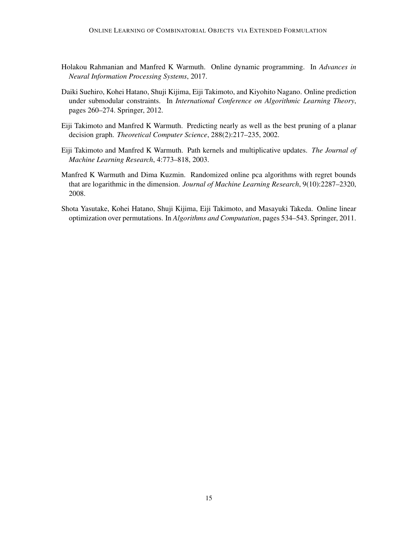- <span id="page-14-4"></span>Holakou Rahmanian and Manfred K Warmuth. Online dynamic programming. In *Advances in Neural Information Processing Systems*, 2017.
- <span id="page-14-3"></span>Daiki Suehiro, Kohei Hatano, Shuji Kijima, Eiji Takimoto, and Kiyohito Nagano. Online prediction under submodular constraints. In *International Conference on Algorithmic Learning Theory*, pages 260–274. Springer, 2012.
- <span id="page-14-5"></span>Eiji Takimoto and Manfred K Warmuth. Predicting nearly as well as the best pruning of a planar decision graph. *Theoretical Computer Science*, 288(2):217–235, 2002.
- <span id="page-14-1"></span>Eiji Takimoto and Manfred K Warmuth. Path kernels and multiplicative updates. *The Journal of Machine Learning Research*, 4:773–818, 2003.
- <span id="page-14-2"></span>Manfred K Warmuth and Dima Kuzmin. Randomized online pca algorithms with regret bounds that are logarithmic in the dimension. *Journal of Machine Learning Research*, 9(10):2287–2320, 2008.
- <span id="page-14-0"></span>Shota Yasutake, Kohei Hatano, Shuji Kijima, Eiji Takimoto, and Masayuki Takeda. Online linear optimization over permutations. In *Algorithms and Computation*, pages 534–543. Springer, 2011.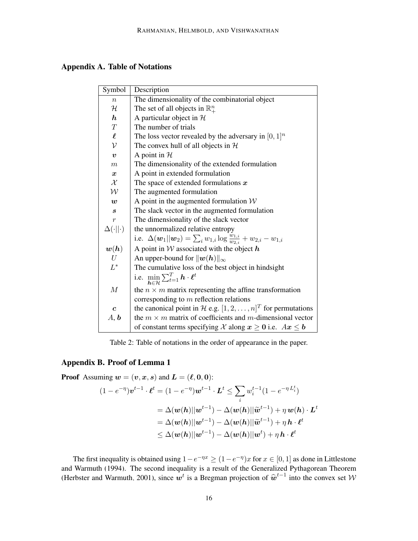| Symbol                 | Description                                                                                                         |
|------------------------|---------------------------------------------------------------------------------------------------------------------|
| $\boldsymbol{n}$       | The dimensionality of the combinatorial object                                                                      |
| ${\mathcal H}$         | The set of all objects in $\mathbb{R}^n_+$                                                                          |
| $\boldsymbol{h}$       | A particular object in $H$                                                                                          |
| T                      | The number of trials                                                                                                |
| $\boldsymbol{\ell}$    | The loss vector revealed by the adversary in $[0, 1]^n$                                                             |
| $\mathcal{V}$          | The convex hull of all objects in $H$                                                                               |
| $\boldsymbol{v}$       | A point in $H$                                                                                                      |
| $\boldsymbol{m}$       | The dimensionality of the extended formulation                                                                      |
| $\boldsymbol{x}$       | A point in extended formulation                                                                                     |
| $\mathcal X$           | The space of extended formulations $x$                                                                              |
| ${\cal W}$             | The augmented formulation                                                                                           |
| $\boldsymbol{w}$       | A point in the augmented formulation $W$                                                                            |
| $\boldsymbol{s}$       | The slack vector in the augmented formulation                                                                       |
| $\boldsymbol{r}$       | The dimensionality of the slack vector                                                                              |
| $\Delta(\cdot  \cdot)$ | the unnormalized relative entropy                                                                                   |
|                        | i.e. $\Delta(\boldsymbol{w}_1  \boldsymbol{w}_2) = \sum_i w_{1,i} \log \frac{w_{1,i}}{w_{2,i}} + w_{2,i} - w_{1,i}$ |
| $\bm{w}(\bm{h})$       | A point in $W$ associated with the object $h$                                                                       |
| U                      | An upper-bound for $  w(h)  _{\infty}$                                                                              |
| $L^*$                  | The cumulative loss of the best object in hindsight                                                                 |
|                        | i.e. $\min_{\mathbf{h} \in \mathcal{H}} \sum_{t=1}^{T} \mathbf{h} \cdot \boldsymbol{\ell}^t$                        |
| $\boldsymbol{M}$       | the $n \times m$ matrix representing the affine transformation                                                      |
|                        | corresponding to $m$ reflection relations                                                                           |
| $\boldsymbol{c}$       | the canonical point in H e.g. $[1, 2, , n]^T$ for permutations                                                      |
| A, b                   | the $m \times m$ matrix of coefficients and m-dimensional vector                                                    |
|                        | of constant terms specifying X along $x \ge 0$ i.e. $Ax \le b$                                                      |

Table 2: Table of notations in the order of appearance in the paper.

# Appendix B. Proof of Lemma [1](#page-6-2)

**Proof** Assuming  $w = (v, x, s)$  and  $L = (\ell, 0, 0)$ :  $(1-e^{-\eta})\bm{v}^{t-1}\cdot\bm{\ell}^t=(1-e^{-\eta})\bm{w}^{t-1}\cdot\bm{L}^t\leq\sum_{k=1}^{\infty}$ i  $w_i^{t-1}(1 - e^{-\eta L_i^t})$ 

$$
=\Delta(\boldsymbol{w}(\boldsymbol{h})||\boldsymbol{w}^{t-1})-\Delta(\boldsymbol{w}(\boldsymbol{h})||\widetilde{\boldsymbol{w}}^{t-1})+\eta \, \boldsymbol{w}(\boldsymbol{h}) \cdot \boldsymbol{L}^t\\=\Delta(\boldsymbol{w}(\boldsymbol{h})||\boldsymbol{w}^{t-1})-\Delta(\boldsymbol{w}(\boldsymbol{h})||\widetilde{\boldsymbol{w}}^{t-1})+\eta \, \boldsymbol{h} \cdot \boldsymbol{\ell}^t\\ \leq \Delta(\boldsymbol{w}(\boldsymbol{h})||\boldsymbol{w}^{t-1})-\Delta(\boldsymbol{w}(\boldsymbol{h})||\boldsymbol{w}^t)+\eta \, \boldsymbol{h} \cdot \boldsymbol{\ell}^t
$$

The first inequality is obtained using  $1 - e^{-\eta x} \ge (1 - e^{-\eta})x$  for  $x \in [0, 1]$  as done in [Littlestone](#page-13-2) [and Warmuth](#page-13-2) [\(1994\)](#page-13-2). The second inequality is a result of the Generalized Pythagorean Theorem [\(Herbster and Warmuth, 2001\)](#page-13-14), since  $w^t$  is a Bregman projection of  $\hat{w}^{t-1}$  into the convex set W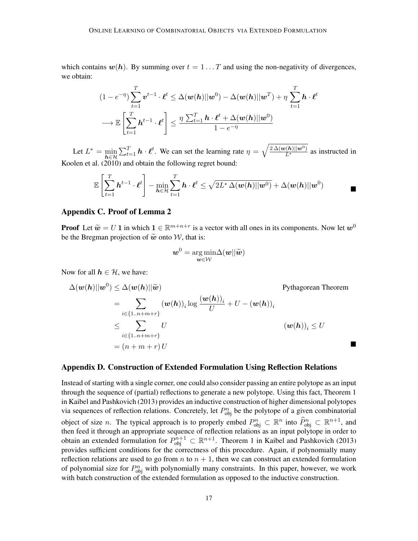which contains  $w(h)$ . By summing over  $t = 1 \dots T$  and using the non-negativity of divergences, we obtain:

$$
(1 - e^{-\eta}) \sum_{t=1}^{T} \mathbf{v}^{t-1} \cdot \ell^{t} \leq \Delta(\mathbf{w}(h) || \mathbf{w}^{0}) - \Delta(\mathbf{w}(h) || \mathbf{w}^{T}) + \eta \sum_{t=1}^{T} \mathbf{h} \cdot \ell^{t}
$$

$$
\longrightarrow \mathbb{E}\left[\sum_{t=1}^{T} \mathbf{h}^{t-1} \cdot \ell^{t}\right] \leq \frac{\eta \sum_{t=1}^{T} \mathbf{h} \cdot \ell^{t} + \Delta(\mathbf{w}(h) || \mathbf{w}^{0})}{1 - e^{-\eta}}
$$

Let  $L^* = \min_{h \in \mathcal{H}} \sum_{t=1}^T h \cdot \ell^t$ . We can set the learning rate  $\eta = \sqrt{\frac{2 \Delta(w(h)||w^0)}{L^*}}$  as instructed in [Koolen et al.](#page-13-6) [\(2010\)](#page-13-6) and obtain the following regret bound:

$$
\mathbb{E}\left[\sum_{t=1}^T \boldsymbol{h}^{t-1} \cdot \boldsymbol{\ell}^t \right] - \min_{\boldsymbol{h} \in \mathcal{H}} \sum_{t=1}^T \boldsymbol{h} \cdot \boldsymbol{\ell}^t \leq \sqrt{2L^* \Delta(\boldsymbol{w}(\boldsymbol{h})||\boldsymbol{w}^0)} + \Delta(\boldsymbol{w}(\boldsymbol{h})||\boldsymbol{w}^0)
$$

# Appendix C. Proof of Lemma [2](#page-6-3)

**Proof** Let  $\tilde{\boldsymbol{w}} = U \mathbf{1}$  in which  $\mathbf{1} \in \mathbb{R}^{m+n+r}$  is a vector with all ones in its components. Now let  $\boldsymbol{w}^0$  be the Pregman projection of  $\tilde{\boldsymbol{w}}$  ante  $\mathcal{W}$  that is: be the Bregman projection of  $\tilde{w}$  onto W, that is:

$$
\bm{w}^0 = \argmin_{\bm{w} \in \mathcal{W}} \Delta(\bm{w} || \widetilde{\bm{w}})
$$

Now for all  $h \in \mathcal{H}$ , we have:

$$
\Delta(\boldsymbol{w}(h)||\boldsymbol{w}^{0}) \leq \Delta(\boldsymbol{w}(h)||\widetilde{\boldsymbol{w}})
$$
Pythagorean Theorem  
\n
$$
= \sum_{i \in \{1..n+m+r\}} (\boldsymbol{w}(h))_{i} \log \frac{(\boldsymbol{w}(h))_{i}}{U} + U - (\boldsymbol{w}(h))_{i}
$$
\n
$$
\leq \sum_{i \in \{1..n+m+r\}} U
$$
\n
$$
= (n+m+r) U
$$

#### Appendix D. Construction of Extended Formulation Using Reflection Relations

Instead of starting with a single corner, one could also consider passing an entire polytope as an input through the sequence of (partial) reflections to generate a new polytope. Using this fact, Theorem 1 in [Kaibel and Pashkovich](#page-13-9) [\(2013\)](#page-13-9) provides an inductive construction of higher dimensional polytopes via sequences of reflection relations. Concretely, let  $P_{obj}^n$  be the polytope of a given combinatorial object of size *n*. The typical approach is to properly embed  $P_{\text{obj}}^n \subset \mathbb{R}^n$  into  $\widehat{P}_{\text{obj}}^n \subset \mathbb{R}^{n+1}$ , and then feed it through an appropriate sequence of reflection relations as an input polytope in order to obtain an extended formulation for  $P_{obj}^{n+1} \subset \mathbb{R}^{n+1}$ . Theorem 1 in [Kaibel and Pashkovich](#page-13-9) [\(2013\)](#page-13-9) provides sufficient conditions for the correctness of this procedure. Again, if polynomially many reflection relations are used to go from n to  $n + 1$ , then we can construct an extended formulation of polynomial size for  $P_{obj}^n$  with polynomially many constraints. In this paper, however, we work with batch construction of the extended formulation as opposed to the inductive construction.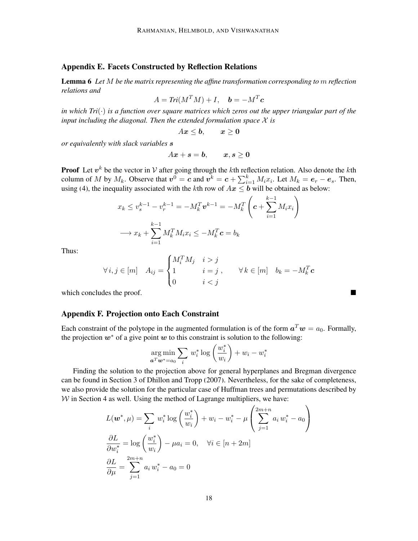### Appendix E. Facets Constructed by Reflection Relations

<span id="page-17-0"></span>Lemma 6 *Let* M *be the matrix representing the affine transformation corresponding to* m *reflection relations and*

$$
A = Tri(M^T M) + I, \quad \mathbf{b} = -M^T \mathbf{c}
$$

*in which Tri*(·) *is a function over square matrices which zeros out the upper triangular part of the input including the diagonal. Then the extended formulation space* X *is*

$$
Ax\leq b, \qquad x\geq 0
$$

*or equivalently with slack variables* s

$$
Ax+s=b, \qquad x,s\geq 0
$$

**Proof** Let  $v^k$  be the vector in V after going through the kth reflection relation. Also denote the kth column of M by  $M_k$ . Observe that  $v^0 = c$  and  $v^k = c + \sum_{i=1}^k M_i x_i$ . Let  $M_k = e_r - e_s$ . Then, using [\(4\)](#page-8-2), the inequality associated with the kth row of  $Ax \leq b$  will be obtained as below:

$$
x_k \le v_s^{k-1} - v_r^{k-1} = -M_k^T \mathbf{v}^{k-1} = -M_k^T \left( \mathbf{c} + \sum_{i=1}^{k-1} M_i x_i \right)
$$

$$
\longrightarrow x_k + \sum_{i=1}^{k-1} M_k^T M_i x_i \le -M_k^T \mathbf{c} = b_k
$$

Thus:

$$
\forall i, j \in [m] \quad A_{ij} = \begin{cases} M_i^T M_j & i > j \\ 1 & i = j \\ 0 & i < j \end{cases}, \quad \forall k \in [m] \quad b_k = -M_k^T \mathbf{c}
$$

which concludes the proof.

#### Appendix F. Projection onto Each Constraint

Each constraint of the polytope in the augmented formulation is of the form  $a^Tw = a_0$ . Formally, the projection  $w^*$  of a give point w to this constraint is solution to the following:

$$
\underset{\mathbf{a}^T \mathbf{w}^* = a_0}{\arg \min} \sum_i w_i^* \log \left(\frac{w_i^*}{w_i}\right) + w_i - w_i^*
$$

Finding the solution to the projection above for general hyperplanes and Bregman divergence can be found in Section 3 of [Dhillon and Tropp](#page-12-7) [\(2007\)](#page-12-7). Nevertheless, for the sake of completeness, we also provide the solution for the particular case of Huffman trees and permutations described by  $W$  in Section [4](#page-7-0) as well. Using the method of Lagrange multipliers, we have:

$$
L(\boldsymbol{w}^*, \mu) = \sum_i w_i^* \log \left(\frac{w_i^*}{w_i}\right) + w_i - w_i^* - \mu \left(\sum_{j=1}^{2m+n} a_i w_i^* - a_0\right)
$$
  

$$
\frac{\partial L}{\partial w_i^*} = \log \left(\frac{w_i^*}{w_i}\right) - \mu a_i = 0, \quad \forall i \in [n+2m]
$$
  

$$
\frac{\partial L}{\partial \mu} = \sum_{j=1}^{2m+n} a_i w_i^* - a_0 = 0
$$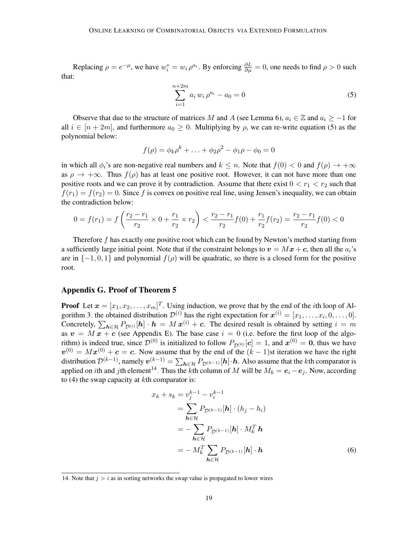<span id="page-18-1"></span>Replacing  $\rho = e^{-\mu}$ , we have  $w_i^* = w_i \rho^{a_i}$ . By enforcing  $\frac{\partial L}{\partial \mu} = 0$ , one needs to find  $\rho > 0$  such that:

$$
\sum_{i=1}^{n+2m} a_i w_i \rho^{a_i} - a_0 = 0 \tag{5}
$$

Observe that due to the structure of matrices M and A (see Lemma [6\)](#page-17-0),  $a_i \in \mathbb{Z}$  and  $a_i \geq -1$  for all  $i \in [n + 2m]$ , and furthermore  $a_0 \ge 0$ . Multiplying by  $\rho$ , we can re-write equation [\(5\)](#page-18-1) as the polynomial below:

$$
f(\rho) = \phi_k \rho^k + \ldots + \phi_2 \rho^2 - \phi_1 \rho - \phi_0 = 0
$$

in which all  $\phi_i$ 's are non-negative real numbers and  $k \leq n$ . Note that  $f(0) < 0$  and  $f(\rho) \to +\infty$ as  $\rho \to +\infty$ . Thus  $f(\rho)$  has at least one positive root. However, it can not have more than one positive roots and we can prove it by contradiction. Assume that there exist  $0 < r_1 < r_2$  such that  $f(r_1) = f(r_2) = 0$ . Since f is convex on positive real line, using Jensen's inequality, we can obtain the contradiction below:

$$
0 = f(r_1) = f\left(\frac{r_2 - r_1}{r_2} \times 0 + \frac{r_1}{r_2} \times r_2\right) < \frac{r_2 - r_1}{r_2} f(0) + \frac{r_1}{r_2} f(r_2) = \frac{r_2 - r_1}{r_2} f(0) < 0
$$

Therefore f has exactly one positive root which can be found by Newton's method starting from a sufficiently large initial point. Note that if the constraint belongs to  $v = Mx + c$ , then all the  $a_i$ 's are in  $\{-1, 0, 1\}$  and polynomial  $f(\rho)$  will be quadratic, so there is a closed form for the positive root.

#### <span id="page-18-0"></span>Appendix G. Proof of Theorem [5](#page-10-3)

**Proof** Let  $\mathbf{x} = [x_1, x_2, \dots, x_m]^T$ . Using induction, we prove that by the end of the *i*th loop of Al-gorithm [3,](#page-10-1) the obtained distribution  $\mathcal{D}^{(i)}$  has the right expectation for  $\mathbf{x}^{(i)} = [x_1, \dots, x_i, 0, \dots, 0].$ Concretely,  $\sum_{h \in \mathcal{H}} P_{\mathcal{D}^{(i)}}[h] \cdot h = M x^{(i)} + c$ . The desired result is obtained by setting  $i = m$ as  $v = M x + c$  (see Appendix [E\)](#page-9-0). The base case  $i = 0$  (i.e. before the first loop of the algorithm) is indeed true, since  $\mathcal{D}^{(0)}$  is initialized to follow  $P_{\mathcal{D}^{(0)}}[\mathbf{c}] = 1$ , and  $\mathbf{x}^{(0)} = \mathbf{0}$ , thus we have  $v^{(0)} = Mx^{(0)} + c = c$ . Now assume that by the end of the  $(k-1)$ st iteration we have the right distribution  $\mathcal{D}^{(k-1)}$ , namely  $\bm{v}^{(k-1)} = \sum_{\bm{h}\in\mathcal{H}}P_{\mathcal{D}^{(k-1)}}[\bm{h}]\cdot\bm{h}$ . Also assume that the *k*th comparator is applied on *i*th and *j*th element<sup>[14](#page-18-2)</sup>. Thus the kth column of M will be  $M_k = e_i - e_j$ . Now, according to [\(4\)](#page-8-2) the swap capacity at kth comparator is:

<span id="page-18-3"></span>
$$
x_k + s_k = v_j^{k-1} - v_i^{k-1}
$$
  
= 
$$
\sum_{\mathbf{h} \in \mathcal{H}} P_{\mathcal{D}^{(k-1)}}[\mathbf{h}] \cdot (h_j - h_i)
$$
  
= 
$$
-\sum_{\mathbf{h} \in \mathcal{H}} P_{\mathcal{D}^{(k-1)}}[\mathbf{h}] \cdot M_k^T \mathbf{h}
$$
  
= 
$$
-M_k^T \sum_{\mathbf{h} \in \mathcal{H}} P_{\mathcal{D}^{(k-1)}}[\mathbf{h}] \cdot \mathbf{h}
$$
 (6)

<span id="page-18-2"></span><sup>14.</sup> Note that  $j > i$  as in sorting networks the swap value is propagated to lower wires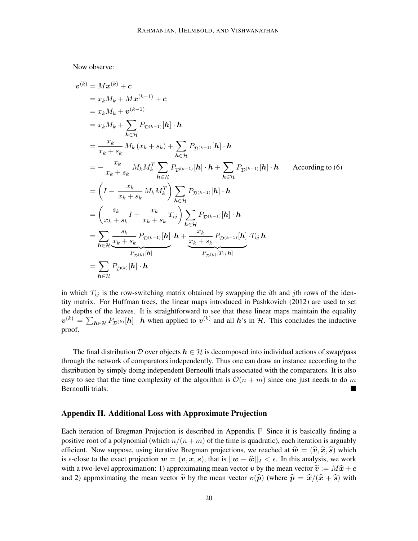Now observe:

$$
\mathbf{v}^{(k)} = M\mathbf{x}^{(k)} + \mathbf{c}
$$
\n
$$
= x_k M_k + M\mathbf{x}^{(k-1)} + \mathbf{c}
$$
\n
$$
= x_k M_k + \mathbf{v}^{(k-1)}
$$
\n
$$
= x_k M_k + \sum_{h \in \mathcal{H}} P_{\mathcal{D}^{(k-1)}}[h] \cdot h
$$
\n
$$
= \frac{x_k}{x_k + s_k} M_k (x_k + s_k) + \sum_{h \in \mathcal{H}} P_{\mathcal{D}^{(k-1)}}[h] \cdot h
$$
\n
$$
= -\frac{x_k}{x_k + s_k} M_k M_k^T \sum_{h \in \mathcal{H}} P_{\mathcal{D}^{(k-1)}}[h] \cdot h + \sum_{h \in \mathcal{H}} P_{\mathcal{D}^{(k-1)}}[h] \cdot h
$$
\nAccording to (6)\n
$$
= \left(I - \frac{x_k}{x_k + s_k} M_k M_k^T\right) \sum_{h \in \mathcal{H}} P_{\mathcal{D}^{(k-1)}}[h] \cdot h
$$
\n
$$
= \left(\frac{s_k}{x_k + s_k} I + \frac{x_k}{x_k + s_k} T_{ij}\right) \sum_{h \in \mathcal{H}} P_{\mathcal{D}^{(k-1)}}[h] \cdot h
$$
\n
$$
= \sum_{h \in \mathcal{H}} \frac{s_k}{x_k + s_k} P_{\mathcal{D}^{(k-1)}}[h] \cdot h + \frac{x_k}{x_k + s_k} P_{\mathcal{D}^{(k-1)}}[h] \cdot T_{ij} h
$$
\n
$$
= \sum_{h \in \mathcal{H}} P_{\mathcal{D}^{(k)}}[h] \cdot h
$$

in which  $T_{ij}$  is the row-switching matrix obtained by swapping the *i*th and *j*th rows of the identity matrix. For Huffman trees, the linear maps introduced in [Pashkovich](#page-13-15) [\(2012\)](#page-13-15) are used to set the depths of the leaves. It is straightforward to see that these linear maps maintain the equality  $v^{(k)} = \sum_{h \in \mathcal{H}} P_{\mathcal{D}^{(k)}}[h] \cdot h$  when applied to  $v^{(k)}$  and all h's in H. This concludes the inductive proof.

The final distribution D over objects  $h \in \mathcal{H}$  is decomposed into individual actions of swap/pass through the network of comparators independently. Thus one can draw an instance according to the distribution by simply doing independent Bernoulli trials associated with the comparators. It is also easy to see that the time complexity of the algorithm is  $\mathcal{O}(n + m)$  since one just needs to do m Bernoulli trials.

# <span id="page-19-0"></span>Appendix H. Additional Loss with Approximate Projection

Each iteration of Bregman Projection is described in Appendix [F.](#page-10-0) Since it is basically finding a positive root of a polynomial (which  $n/(n + m)$  of the time is quadratic), each iteration is arguably efficient. Now suppose, using iterative Bregman projections, we reached at  $\hat{w} = (\hat{v}, \hat{x}, \hat{s})$  which is  $\epsilon$ -close to the exact projection  $w = (v, x, s)$ , that is  $||w - \hat{w}||_2 < \epsilon$ . In this analysis, we work with a two-level approximation: 1) approximating mean vector v by the mean vector  $\tilde{\mathbf{v}} := M\hat{\mathbf{x}} + \mathbf{c}$ and 2) approximating the mean vector  $\tilde{v}$  by the mean vector  $v(\hat{p})$  (where  $\hat{p} = \hat{x}/(\hat{x} + \hat{s})$  with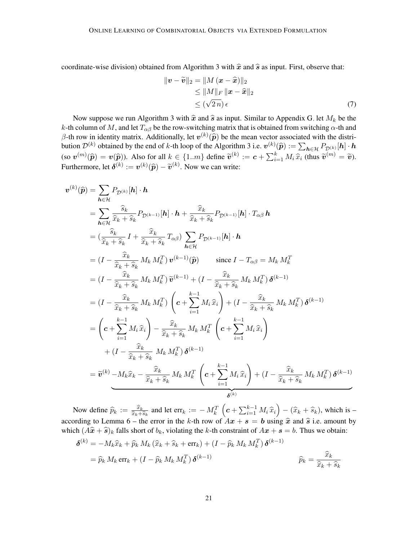coordinate-wise division) obtained from Algorithm [3](#page-10-1) with  $\hat{x}$  and  $\hat{s}$  as input. First, observe that:

<span id="page-20-0"></span>
$$
\|\boldsymbol{v} - \widetilde{\boldsymbol{v}}\|_{2} = \|M(\boldsymbol{x} - \widehat{\boldsymbol{x}})\|_{2}
$$
  
\n
$$
\leq \|M\|_{F} \|\boldsymbol{x} - \widehat{\boldsymbol{x}}\|_{2}
$$
  
\n
$$
\leq (\sqrt{2n}) \epsilon
$$
\n(7)

Now suppose we run Algorithm [3](#page-10-1) with  $\hat{x}$  and  $\hat{s}$  as input. Similar to Appendix [G,](#page-18-0) let  $M_k$  be the k-th column of M, and let  $T_{\alpha\beta}$  be the row-switching matrix that is obtained from switching  $\alpha$ -th and β-th row in identity matrix. Additionally, let  $v^{(k)}(\hat{p})$  be the mean vector associated with the distribution  $\mathcal{D}^{(k)}$  obtained by the end of h the leap of the Algorithm 3 i.e.  $v^{(k)}(\hat{z}) = \sum_{n=0}^{k} p^{(k)}(n)$ bution  $\mathcal{D}^{(k)}$  obtained by the end of k-th loop of the Algorithm [3](#page-10-1) i.e.  $\mathbf{v}^{(k)}(\widehat{\boldsymbol{p}}) := \sum_{\boldsymbol{h} \in \mathcal{H}} P_{\mathcal{D}^{(k)}}[\boldsymbol{h}] \cdot \boldsymbol{h}$ (so  $\mathbf{v}^{(m)}(\widehat{\boldsymbol{p}}) = \mathbf{v}(\widehat{\boldsymbol{p}})$ ). Also for all  $k \in \{1..m\}$  define  $\widetilde{\mathbf{v}}^{(k)} := \mathbf{c} + \sum_{i=1}^{k} M_i \widehat{x}_i$  (thus  $\widetilde{\mathbf{v}}^{(m)} = \widetilde{\mathbf{v}}$ ). Furthermore, let  $\boldsymbol{\delta}^{(k)} := \boldsymbol{v}^{(k)}(\widehat{\boldsymbol{p}}) - \widetilde{\boldsymbol{v}}^{(k)}$ . Now we can write:

$$
\mathbf{v}^{(k)}(\hat{\mathbf{p}}) = \sum_{\mathbf{h}\in\mathcal{H}} P_{\mathcal{D}^{(k)}}[\mathbf{h}] \cdot \mathbf{h}
$$
\n
$$
= \sum_{\mathbf{h}\in\mathcal{H}} \frac{\hat{s}_k}{\hat{x}_k + \hat{s}_k} P_{\mathcal{D}^{(k-1)}}[\mathbf{h}] \cdot \mathbf{h} + \frac{\hat{x}_k}{\hat{x}_k + \hat{s}_k} P_{\mathcal{D}^{(k-1)}}[\mathbf{h}] \cdot T_{\alpha\beta} \mathbf{h}
$$
\n
$$
= (\frac{\hat{s}_k}{\hat{x}_k + \hat{s}_k} I + \frac{\hat{x}_k}{\hat{x}_k + \hat{s}_k} T_{\alpha\beta}) \sum_{\mathbf{h}\in\mathcal{H}} P_{\mathcal{D}^{(k-1)}}[\mathbf{h}] \cdot \mathbf{h}
$$
\n
$$
= (I - \frac{\hat{x}_k}{\hat{x}_k + \hat{s}_k} M_k M_k^T) \mathbf{v}^{(k-1)}(\hat{\mathbf{p}}) \qquad \text{since } I - T_{\alpha\beta} = M_k M_k^T
$$
\n
$$
= (I - \frac{\hat{x}_k}{\hat{x}_k + \hat{s}_k} M_k M_k^T) \tilde{\mathbf{v}}^{(k-1)} + (I - \frac{\hat{x}_k}{\hat{x}_k + \hat{s}_k} M_k M_k^T) \mathbf{\delta}^{(k-1)}
$$
\n
$$
= (I - \frac{\hat{x}_k}{\hat{x}_k + \hat{s}_k} M_k M_k^T) \left( \mathbf{c} + \sum_{i=1}^{k-1} M_i \hat{x}_i \right) + (I - \frac{\hat{x}_k}{\hat{x}_k + \hat{s}_k} M_k M_k^T) \mathbf{\delta}^{(k-1)}
$$
\n
$$
= \left( \mathbf{c} + \sum_{i=1}^{k-1} M_i \hat{x}_i \right) - \frac{\hat{x}_k}{\hat{x}_k + \hat{s}_k} M_k M_k^T \left( \mathbf{c} + \sum_{i=1}^{k-1} M_i \hat{x}_i \right)
$$
\n
$$
+ (I - \frac{\hat{x}_k}{\hat{x}_k + \hat{s}_k} M_k M_k^T) \mathbf{\delta}^{(k-1)}
$$
\n
$$
= \tilde
$$

Now define  $\widehat{p}_k := \frac{\widehat{x}_k}{\widehat{x}_k + \widehat{x}_k}$  $\frac{\widehat{x}_k}{\widehat{x}_k + \widehat{s}_k}$  and let err<sub>k</sub> :=  $-M_k^T\left(c + \sum_{i=1}^{k-1} M_i \widehat{x}_i\right) - (\widehat{x}_k + \widehat{s}_k)$ , which is  $-M_k^T\left(c + \sum_{i=1}^{k-1} M_i \widehat{x}_i\right)$ according to Lemma [6](#page-17-0) – the error in the k-th row of  $Ax + s = b$  using  $\hat{x}$  and  $\hat{s}$  i.e. amount by which  $(A\hat{x} + \hat{s})_k$  falls short of  $b_k$ , violating the k-th constraint of  $Ax + s = b$ . Thus we obtain:

$$
\delta^{(k)} = -M_k \hat{x}_k + \hat{p}_k M_k (\hat{x}_k + \hat{s}_k + \text{err}_k) + (I - \hat{p}_k M_k M_k^T) \delta^{(k-1)}
$$
  
=  $\hat{p}_k M_k \text{err}_k + (I - \hat{p}_k M_k M_k^T) \delta^{(k-1)}$   $\hat{p}_k = \frac{\hat{x}_k}{\hat{x}_k + \hat{s}_k}$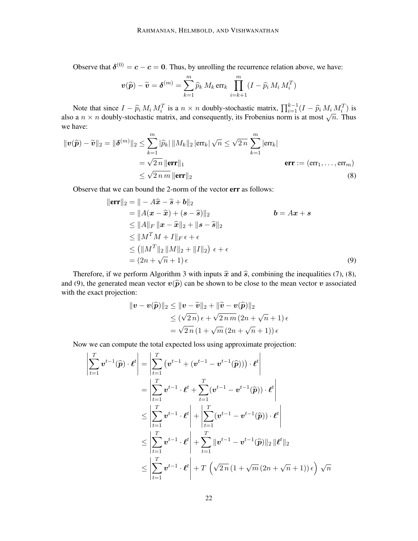Observe that  $\delta^{(0)} = c - c = 0$ . Thus, by unrolling the recurrence relation above, we have:

$$
\mathbf{v}(\widehat{\boldsymbol{p}}) - \widetilde{\mathbf{v}} = \boldsymbol{\delta}^{(m)} = \sum_{k=1}^{m} \widehat{p}_k M_k \operatorname{err}_k \prod_{i=k+1}^{m} (I - \widehat{p}_i M_i M_i^T)
$$

Note that since  $I - \hat{p}_i M_i M_i^T$  is a  $n \times n$  doubly-stochastic matrix,  $\prod_{i=1}^{k-1} (I - \hat{p}_i M_i M_i^T)$  is also a  $n \times n$  doubly-stochastic matrix, and consequently, its Frobenius norm is at most  $\sqrt{n}$ . Thus we have:

$$
\|\mathbf{v}(\widehat{\boldsymbol{p}}) - \widetilde{\mathbf{v}}\|_{2} = \|\boldsymbol{\delta}^{(m)}\|_{2} \le \sum_{k=1}^{m} |\widehat{p}_{k}| \, \|M_{k}\|_{2} \, |\text{err}_{k}| \, \sqrt{n} \le \sqrt{2 \, n} \sum_{k=1}^{m} |\text{err}_{k}|
$$
\n
$$
= \sqrt{2 \, n} \, \|\text{err}\|_{1}
$$
\n
$$
\le \sqrt{2 \, n \, m} \, \|\text{err}\|_{2}
$$
\n(8)

Observe that we can bound the 2-norm of the vector err as follows:

<span id="page-21-0"></span>
$$
\|\mathbf{err}\|_2 = \|\n- A\hat{\mathbf{x}} - \hat{\mathbf{s}} + \mathbf{b}\|_2
$$
  
\n
$$
= \|A(\mathbf{x} - \hat{\mathbf{x}}) + (\mathbf{s} - \hat{\mathbf{s}})\|_2 \qquad \qquad \mathbf{b} = A\mathbf{x} + \mathbf{s}
$$
  
\n
$$
\leq \|A\|_F \|\mathbf{x} - \hat{\mathbf{x}}\|_2 + \|\mathbf{s} - \hat{\mathbf{s}}\|_2
$$
  
\n
$$
\leq \|M^T M + I\|_F \epsilon + \epsilon
$$
  
\n
$$
\leq (\|M^T\|_2 \|M\|_2 + \|I\|_2) \epsilon + \epsilon
$$
  
\n
$$
= (2n + \sqrt{n} + 1) \epsilon
$$
 (9)

Therefore, if we perform Algorithm [3](#page-10-1) with inputs  $\hat{x}$  and  $\hat{s}$ , combining the inequalities [\(7\)](#page-20-0), [\(8\)](#page-21-0), and [\(9\)](#page-21-1), the generated mean vector  $v(\hat{p})$  can be shown to be close to the mean vector v associated with the exact projection:

<span id="page-21-1"></span>
$$
\begin{aligned} \| \boldsymbol{v} - \boldsymbol{v}(\widehat{\boldsymbol{p}}) \|_2 &\leq \| \boldsymbol{v} - \widetilde{\boldsymbol{v}} \|_2 + \| \widetilde{\boldsymbol{v}} - \boldsymbol{v}(\widehat{\boldsymbol{p}}) \|_2 \\ &\leq (\sqrt{2\,n})\, \epsilon + \sqrt{2\,n\,m}\, (2n + \sqrt{n} + 1)\, \epsilon \\ &= \sqrt{2\,n}\, (1 + \sqrt{m}\, (2n + \sqrt{n} + 1))\, \epsilon \end{aligned}
$$

Now we can compute the total expected loss using approximate projection:

$$
\left| \sum_{t=1}^{T} \mathbf{v}^{t-1}(\widehat{\boldsymbol{p}}) \cdot \boldsymbol{\ell}^{t} \right| = \left| \sum_{t=1}^{T} \left( \mathbf{v}^{t-1} + (\mathbf{v}^{t-1} - \mathbf{v}^{t-1}(\widehat{\boldsymbol{p}})) \right) \cdot \boldsymbol{\ell}^{t} \right|
$$
\n
$$
= \left| \sum_{t=1}^{T} \mathbf{v}^{t-1} \cdot \boldsymbol{\ell}^{t} + \sum_{t=1}^{T} (\mathbf{v}^{t-1} - \mathbf{v}^{t-1}(\widehat{\boldsymbol{p}})) \cdot \boldsymbol{\ell}^{t} \right|
$$
\n
$$
\leq \left| \sum_{t=1}^{T} \mathbf{v}^{t-1} \cdot \boldsymbol{\ell}^{t} \right| + \left| \sum_{t=1}^{T} (\mathbf{v}^{t-1} - \mathbf{v}^{t-1}(\widehat{\boldsymbol{p}})) \cdot \boldsymbol{\ell}^{t} \right|
$$
\n
$$
\leq \left| \sum_{t=1}^{T} \mathbf{v}^{t-1} \cdot \boldsymbol{\ell}^{t} \right| + \sum_{t=1}^{T} \|\mathbf{v}^{t-1} - \mathbf{v}^{t-1}(\widehat{\boldsymbol{p}})\|_{2} \|\boldsymbol{\ell}^{t}\|_{2}
$$
\n
$$
\leq \left| \sum_{t=1}^{T} \mathbf{v}^{t-1} \cdot \boldsymbol{\ell}^{t} \right| + T \left( \sqrt{2n} \left( 1 + \sqrt{m} \left( 2n + \sqrt{n} + 1 \right) \right) \epsilon \right) \sqrt{n}
$$